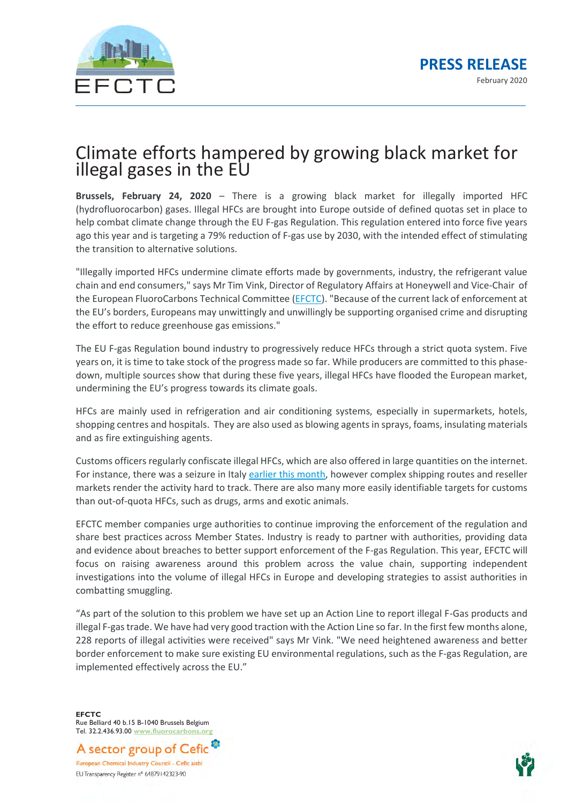

## Climate efforts hampered by growing black market for illegal gases in the EU

**Brussels, February 24, 2020** – There is a growing black market for illegally imported HFC (hydrofluorocarbon) gases. Illegal HFCs are brought into Europe outside of defined quotas set in place to help combat climate change through the EU F-gas Regulation. This regulation entered into force five years ago this year and is targeting a 79% reduction of F-gas use by 2030, with the intended effect of stimulating the transition to alternative solutions.

"Illegally imported HFCs undermine climate efforts made by governments, industry, the refrigerant value chain and end consumers," says Mr Tim Vink, Director of Regulatory Affairs at Honeywell and Vice-Chair of the European FluoroCarbons Technical Committee [\(EFCTC\)](https://www.fluorocarbons.org/illegal-trade-of-hfcs/#.Xk7CPChKjIU). "Because of the current lack of enforcement at the EU's borders, Europeans may unwittingly and unwillingly be supporting organised crime and disrupting the effort to reduce greenhouse gas emissions."

The EU F-gas Regulation bound industry to progressively reduce HFCs through a strict quota system. Five years on, it is time to take stock of the progress made so far. While producers are committed to this phasedown, multiple sources show that during these five years, illegal HFCs have flooded the European market, undermining the EU's progress towards its climate goals.

HFCs are mainly used in refrigeration and air conditioning systems, especially in supermarkets, hotels, shopping centres and hospitals. They are also used as blowing agents in sprays, foams, insulating materials and as fire extinguishing agents.

Customs officers regularly confiscate illegal HFCs, which are also offered in large quantities on the internet. For instance, there was a seizure in Italy [earlier this month,](https://ec.europa.eu/anti-fraud/media-corner/news/11-02-2020/125-tonnes-illegally-imported-refrigerant-gases-seized-olafs-help_en) however complex shipping routes and reseller markets render the activity hard to track. There are also many more easily identifiable targets for customs than out-of-quota HFCs, such as drugs, arms and exotic animals.

EFCTC member companies urge authorities to continue improving the enforcement of the regulation and share best practices across Member States. Industry is ready to partner with authorities, providing data and evidence about breaches to better support enforcement of the F-gas Regulation. This year, EFCTC will focus on raising awareness around this problem across the value chain, supporting independent investigations into the volume of illegal HFCs in Europe and developing strategies to assist authorities in combatting smuggling.

"As part of the solution to this problem we have set up an Action Line to report illegal F-Gas products and illegal F-gas trade. We have had very good traction with the Action Line so far. In the first few months alone, 228 reports of illegal activities were received" says Mr Vink. "We need heightened awareness and better border enforcement to make sure existing EU environmental regulations, such as the F-gas Regulation, are implemented effectively across the EU."

**EFCTC** Rue Belliard 40 b.15 B-1040 Brussels Belgium Tel. 32.2.436.93.00 **[www.fluorocarbons.org](http://www.fluorocarbons.org/)**

A sector group of Cefic European Chemical Industry Council - Cefic aisbl EU Transparency Register n° 64879142323-90